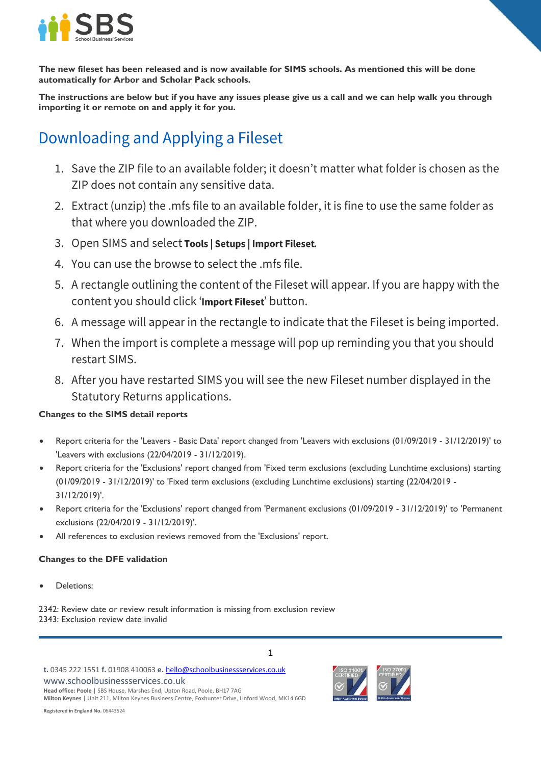

**The new fileset has been released and is now available for SIMS schools. As mentioned this will be done automatically for Arbor and Scholar Pack schools.**

**The instructions are below but if you have any issues please give us a call and we can help walk you through importing it or remote on and apply it for you.**

# Downloading and Applying a Fileset

- 1. Save the ZIP file to an available folder; it doesn't matter what folder is chosen as the ZIP does not contain any sensitive data.
- 2. Extract (unzip) the .mfs file to an available folder, it is fine to use the same folder as that where you downloaded the ZIP.
- 3. Open SIMS and select Tools | Setups | Import Fileset.
- 4. You can use the browse to select the .mfs file.
- 5. A rectangle outlining the content of the Fileset will appear. If you are happy with the content you should click 'Import Fileset' button.
- 6. A message will appear in the rectangle to indicate that the Fileset is being imported.
- 7. When the import is complete a message will pop up reminding you that you should restart SIMS.
- 8. After you have restarted SIMS you will see the new Fileset number displayed in the **Statutory Returns applications.**

### **Changes to the SIMS detail reports**

- Report criteria for the 'Leavers Basic Data' report changed from 'Leavers with exclusions (01/09/2019 31/12/2019)' to 'Leavers with exclusions (22/04/2019 - 31/12/2019).
- Report criteria for the 'Exclusions' report changed from 'Fixed term exclusions (excluding Lunchtime exclusions) starting (01/09/2019 - 31/12/2019)' to 'Fixed term exclusions (excluding Lunchtime exclusions) starting (22/04/2019 - 31/12/2019)'.
- Report criteria for the 'Exclusions' report changed from 'Permanent exclusions (01/09/2019 31/12/2019)' to 'Permanent exclusions (22/04/2019 - 31/12/2019)'.

1

All references to exclusion reviews removed from the 'Exclusions' report.

### **Changes to the DFE validation**

Deletions:

2342: Review date or review result information is missing from exclusion review 2343: Exclusion review date invalid

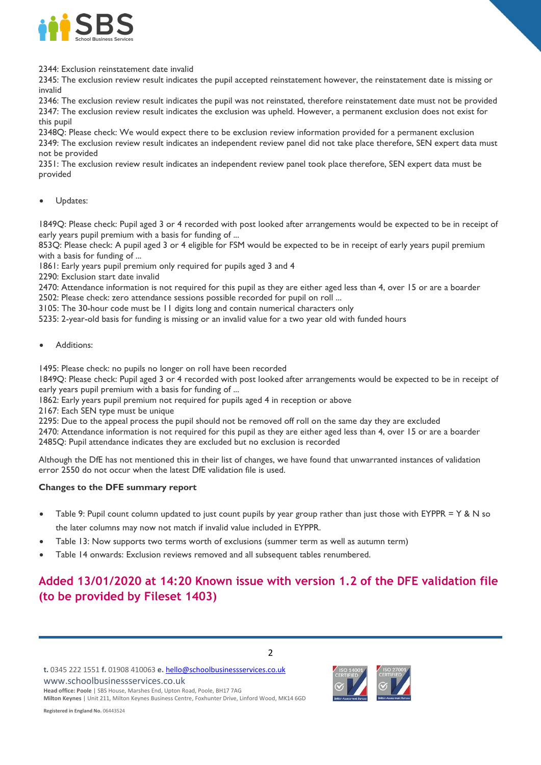

2344: Exclusion reinstatement date invalid

2345: The exclusion review result indicates the pupil accepted reinstatement however, the reinstatement date is missing or invalid

2346: The exclusion review result indicates the pupil was not reinstated, therefore reinstatement date must not be provided 2347: The exclusion review result indicates the exclusion was upheld. However, a permanent exclusion does not exist for this pupil

2348Q: Please check: We would expect there to be exclusion review information provided for a permanent exclusion 2349: The exclusion review result indicates an independent review panel did not take place therefore, SEN expert data must not be provided

2351: The exclusion review result indicates an independent review panel took place therefore, SEN expert data must be provided

Updates:

1849Q: Please check: Pupil aged 3 or 4 recorded with post looked after arrangements would be expected to be in receipt of early years pupil premium with a basis for funding of ...

853Q: Please check: A pupil aged 3 or 4 eligible for FSM would be expected to be in receipt of early years pupil premium with a basis for funding of ...

1861: Early years pupil premium only required for pupils aged 3 and 4

2290: Exclusion start date invalid

2470: Attendance information is not required for this pupil as they are either aged less than 4, over 15 or are a boarder

2502: Please check: zero attendance sessions possible recorded for pupil on roll ...

3105: The 30-hour code must be 11 digits long and contain numerical characters only

5235: 2-year-old basis for funding is missing or an invalid value for a two year old with funded hours

Additions:

1495: Please check: no pupils no longer on roll have been recorded

1849Q: Please check: Pupil aged 3 or 4 recorded with post looked after arrangements would be expected to be in receipt of early years pupil premium with a basis for funding of ...

1862: Early years pupil premium not required for pupils aged 4 in reception or above

2167: Each SEN type must be unique

2295: Due to the appeal process the pupil should not be removed off roll on the same day they are excluded

2470: Attendance information is not required for this pupil as they are either aged less than 4, over 15 or are a boarder 2485Q: Pupil attendance indicates they are excluded but no exclusion is recorded

Although the DfE has not mentioned this in their list of changes, we have found that unwarranted instances of validation error 2550 do not occur when the latest DfE validation file is used.

#### **Changes to the DFE summary report**

- Table 9: Pupil count column updated to just count pupils by year group rather than just those with EYPPR = Y & N so the later columns may now not match if invalid value included in EYPPR.
- Table 13: Now supports two terms worth of exclusions (summer term as well as autumn term)
- Table 14 onwards: Exclusion reviews removed and all subsequent tables renumbered.

## **Added 13/01/2020 at 14:20 Known issue with version 1.2 of the DFE validation file (to be provided by Fileset 1403)**

www.schoolbusinessservices.co.uk

**Head office: Poole** | SBS House, Marshes End, Upton Road, Poole, BH17 7AG **Milton Keynes** | Unit 211, Milton Keynes Business Centre, Foxhunter Drive, Linford Wood, MK14 6GD